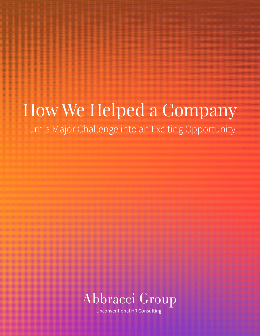# How We Helped a Company Turn a Major Challenge into an Exciting Opportunity



Unconventional HR Consulting.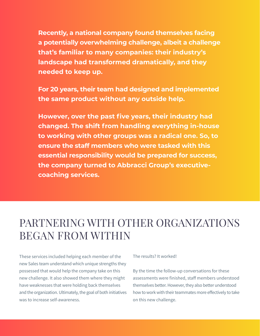**Recently, a national company found themselves facing a potentially overwhelming challenge, albeit a challenge that's familiar to many companies: their industry's landscape had transformed dramatically, and they needed to keep up.**

**For 20 years, their team had designed and implemented the same product without any outside help.** 

However, over the past five years, their industry had **changed. The shift from handling everything in-house to working with other groups was a radical one. So, to ensure the staff members who were tasked with this essential responsibility would be prepared for success, the company turned to Abbracci Group's executivecoaching services.**

### PARTNERING WITH OTHER ORGANIZATIONS BEGAN FROM WITHIN

These services included helping each member of the new Sales team understand which unique strengths they possessed that would help the company take on this new challenge. It also showed them where they might have weaknesses that were holding back themselves and the organization. Ultimately, the goal of both initiatives was to increase self-awareness.

#### The results? It worked!

By the time the follow-up conversations for these assessments were finished, staff members understood themselves better. However, they also better understood how to work with their teammates more effectively to take on this new challenge.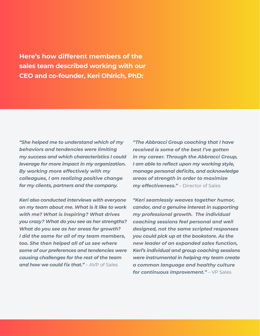**Here's how different members of the sales team described working with our CEO and co-founder, Keri Ohlrich, PhD:**

*"She helped me to understand which of my behaviors and tendencies were limiting my success and which characteristics I could leverage for more impact in my organization. By working more effectively with my colleagues, I am realizing positive change for my clients, partners and the company.* 

*Keri also conducted interviews with everyone on my team about me. What is it like to work with me? What is inspiring? What drives you crazy? What do you see as her strengths? What do you see as her areas for growth? I did the same for all of my team members, too. She then helped all of us see where some of our preferences and tendencies were causing challenges for the rest of the team*  **and how we could fix that."** – AVP of Sales

*"The Abbracci Group coaching that I have received is some of the best I've gotten in my career. Through the Abbracci Group, I am able to refect upon my working style, manage personal deficits, and acknowledge areas of strength in order to maximize my effectiveness."* – Director of Sales

*"Keri seamlessly weaves together humor, candor, and a genuine interest in supporting my professional growth. The individual coaching sessions feel personal and well designed, not the same scripted responses you could pick up at the bookstore. As the new leader of an expanded sales function, Keri's individual and group coaching sessions were instrumental in helping my team create a common language and healthy culture for continuous improvement."* – VP Sales